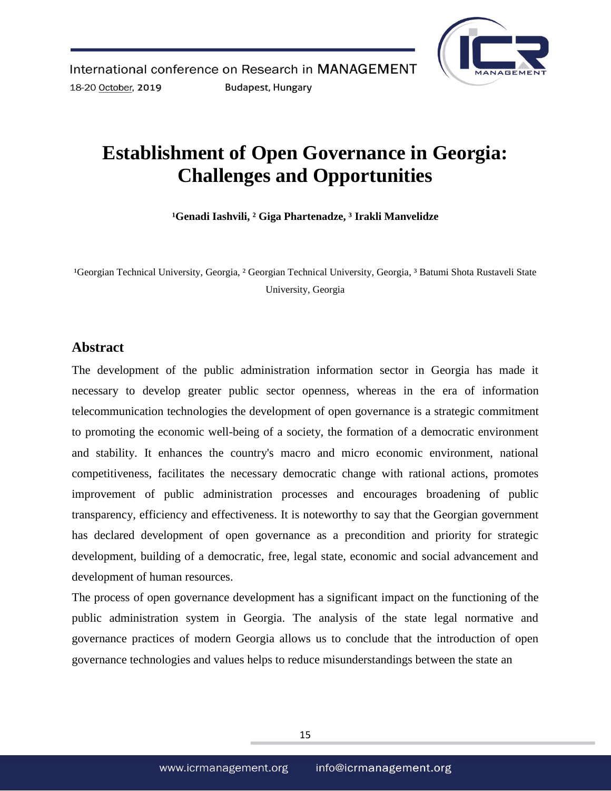

# **Establishment of Open Governance in Georgia: Challenges and Opportunities**

**¹Genadi Iashvili, ² Giga Phartenadze, ³ Irakli Manvelidze**

<sup>1</sup>Georgian Technical University, Georgia, <sup>2</sup> Georgian Technical University, Georgia, <sup>3</sup> Batumi Shota Rustaveli State University, Georgia

## **Abstract**

The development of the public administration information sector in Georgia has made it necessary to develop greater public sector openness, whereas in the era of information telecommunication technologies the development of open governance is a strategic commitment to promoting the economic well-being of a society, the formation of a democratic environment and stability. It enhances the country's macro and micro economic environment, national competitiveness, facilitates the necessary democratic change with rational actions, promotes improvement of public administration processes and encourages broadening of public transparency, efficiency and effectiveness. It is noteworthy to say that the Georgian government has declared development of open governance as a precondition and priority for strategic development, building of a democratic, free, legal state, economic and social advancement and development of human resources.

The process of open governance development has a significant impact on the functioning of the public administration system in Georgia. The analysis of the state legal normative and governance practices of modern Georgia allows us to conclude that the introduction of open governance technologies and values helps to reduce misunderstandings between the state an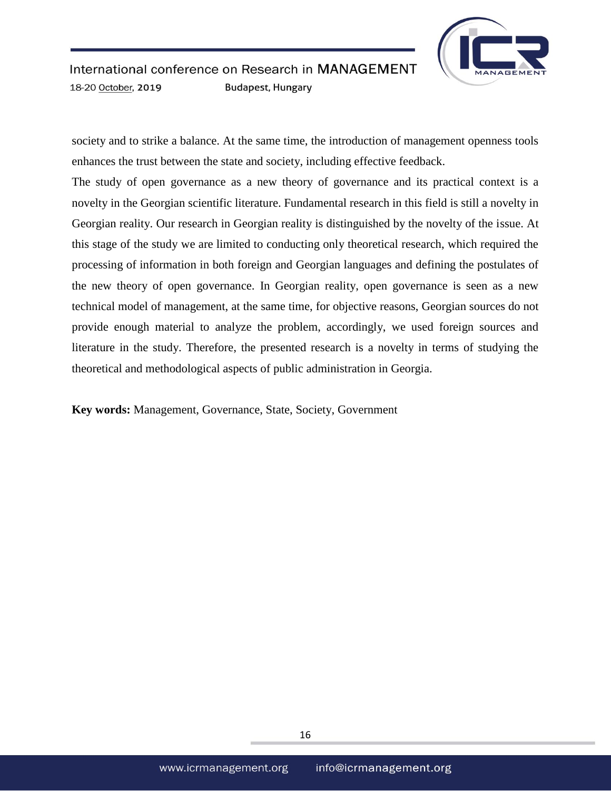

society and to strike a balance. At the same time, the introduction of management openness tools enhances the trust between the state and society, including effective feedback.

The study of open governance as a new theory of governance and its practical context is a novelty in the Georgian scientific literature. Fundamental research in this field is still a novelty in Georgian reality. Our research in Georgian reality is distinguished by the novelty of the issue. At this stage of the study we are limited to conducting only theoretical research, which required the processing of information in both foreign and Georgian languages and defining the postulates of the new theory of open governance. In Georgian reality, open governance is seen as a new technical model of management, at the same time, for objective reasons, Georgian sources do not provide enough material to analyze the problem, accordingly, we used foreign sources and literature in the study. Therefore, the presented research is a novelty in terms of studying the theoretical and methodological aspects of public administration in Georgia.

**Key words:** Management, Governance, State, Society, Government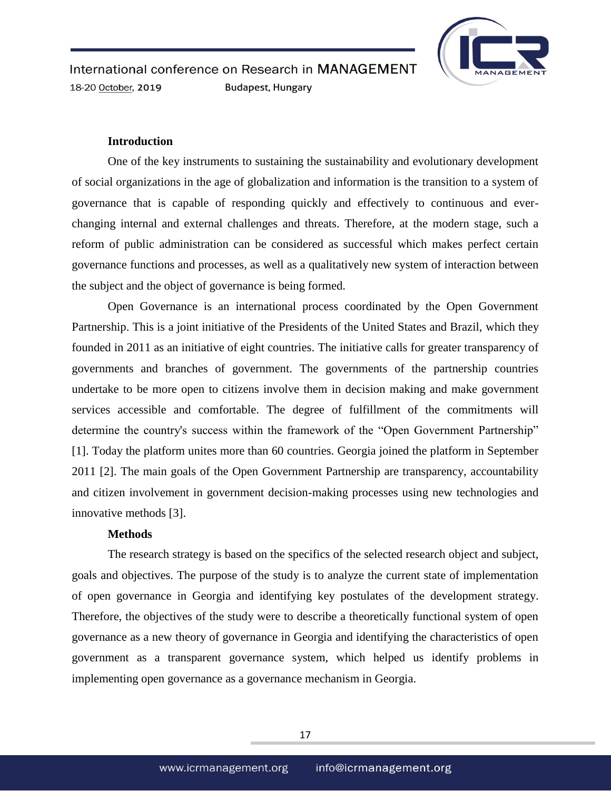

## **Introduction**

One of the key instruments to sustaining the sustainability and evolutionary development of social organizations in the age of globalization and information is the transition to a system of governance that is capable of responding quickly and effectively to continuous and everchanging internal and external challenges and threats. Therefore, at the modern stage, such a reform of public administration can be considered as successful which makes perfect certain governance functions and processes, as well as a qualitatively new system of interaction between the subject and the object of governance is being formed.

Open Governance is an international process coordinated by the Open Government Partnership. This is a joint initiative of the Presidents of the United States and Brazil, which they founded in 2011 as an initiative of eight countries. The initiative calls for greater transparency of governments and branches of government. The governments of the partnership countries undertake to be more open to citizens involve them in decision making and make government services accessible and comfortable. The degree of fulfillment of the commitments will determine the country's success within the framework of the "Open Government Partnership" [1]. Today the platform unites more than 60 countries. Georgia joined the platform in September 2011 [2]. The main goals of the Open Government Partnership are transparency, accountability and citizen involvement in government decision-making processes using new technologies and innovative methods [3].

## **Methods**

The research strategy is based on the specifics of the selected research object and subject, goals and objectives. The purpose of the study is to analyze the current state of implementation of open governance in Georgia and identifying key postulates of the development strategy. Therefore, the objectives of the study were to describe a theoretically functional system of open governance as a new theory of governance in Georgia and identifying the characteristics of open government as a transparent governance system, which helped us identify problems in implementing open governance as a governance mechanism in Georgia.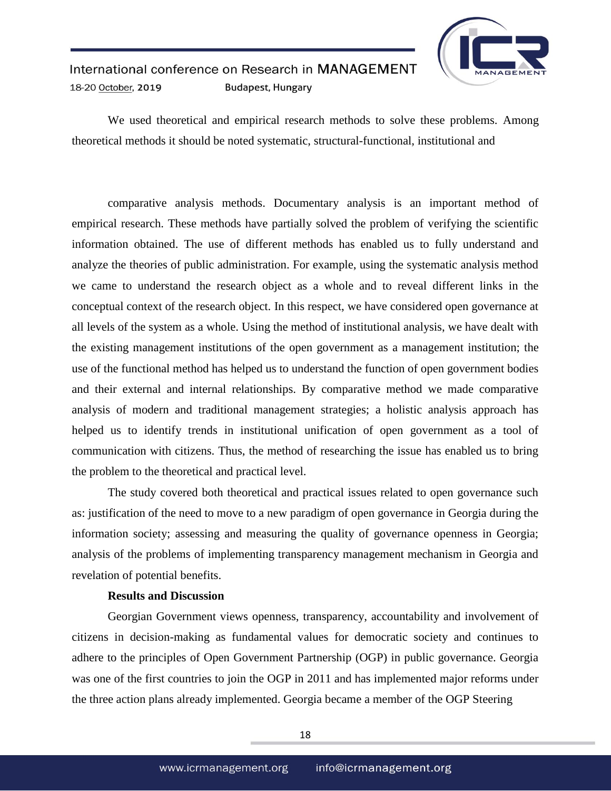

We used theoretical and empirical research methods to solve these problems. Among theoretical methods it should be noted systematic, structural-functional, institutional and

comparative analysis methods. Documentary analysis is an important method of empirical research. These methods have partially solved the problem of verifying the scientific information obtained. The use of different methods has enabled us to fully understand and analyze the theories of public administration. For example, using the systematic analysis method we came to understand the research object as a whole and to reveal different links in the conceptual context of the research object. In this respect, we have considered open governance at all levels of the system as a whole. Using the method of institutional analysis, we have dealt with the existing management institutions of the open government as a management institution; the use of the functional method has helped us to understand the function of open government bodies and their external and internal relationships. By comparative method we made comparative analysis of modern and traditional management strategies; a holistic analysis approach has helped us to identify trends in institutional unification of open government as a tool of communication with citizens. Thus, the method of researching the issue has enabled us to bring the problem to the theoretical and practical level.

The study covered both theoretical and practical issues related to open governance such as: justification of the need to move to a new paradigm of open governance in Georgia during the information society; assessing and measuring the quality of governance openness in Georgia; analysis of the problems of implementing transparency management mechanism in Georgia and revelation of potential benefits.

## **Results and Discussion**

Georgian Government views openness, transparency, accountability and involvement of citizens in decision-making as fundamental values for democratic society and continues to adhere to the principles of Open Government Partnership (OGP) in public governance. Georgia was one of the first countries to join the OGP in 2011 and has implemented major reforms under the three action plans already implemented. Georgia became a member of the OGP Steering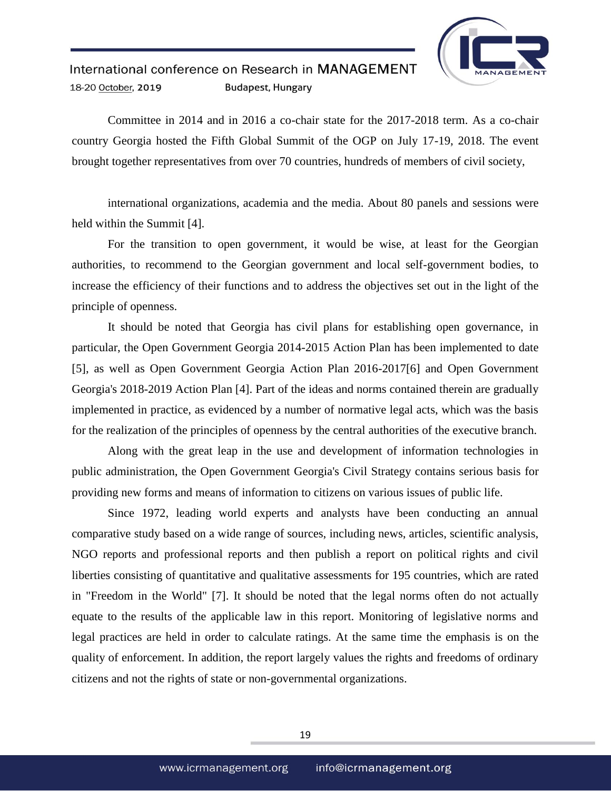

Committee in 2014 and in 2016 a co-chair state for the 2017-2018 term. As a co-chair country Georgia hosted the Fifth Global Summit of the OGP on July 17-19, 2018. The event brought together representatives from over 70 countries, hundreds of members of civil society,

international organizations, academia and the media. About 80 panels and sessions were held within the Summit [4].

For the transition to open government, it would be wise, at least for the Georgian authorities, to recommend to the Georgian government and local self-government bodies, to increase the efficiency of their functions and to address the objectives set out in the light of the principle of openness.

It should be noted that Georgia has civil plans for establishing open governance, in particular, the Open Government Georgia 2014-2015 Action Plan has been implemented to date [5], as well as Open Government Georgia Action Plan 2016-2017[6] and Open Government Georgia's 2018-2019 Action Plan [4]. Part of the ideas and norms contained therein are gradually implemented in practice, as evidenced by a number of normative legal acts, which was the basis for the realization of the principles of openness by the central authorities of the executive branch.

Along with the great leap in the use and development of information technologies in public administration, the Open Government Georgia's Civil Strategy contains serious basis for providing new forms and means of information to citizens on various issues of public life.

Since 1972, leading world experts and analysts have been conducting an annual comparative study based on a wide range of sources, including news, articles, scientific analysis, NGO reports and professional reports and then publish a report on political rights and civil liberties consisting of quantitative and qualitative assessments for 195 countries, which are rated in "Freedom in the World" [7]. It should be noted that the legal norms often do not actually equate to the results of the applicable law in this report. Monitoring of legislative norms and legal practices are held in order to calculate ratings. At the same time the emphasis is on the quality of enforcement. In addition, the report largely values the rights and freedoms of ordinary citizens and not the rights of state or non-governmental organizations.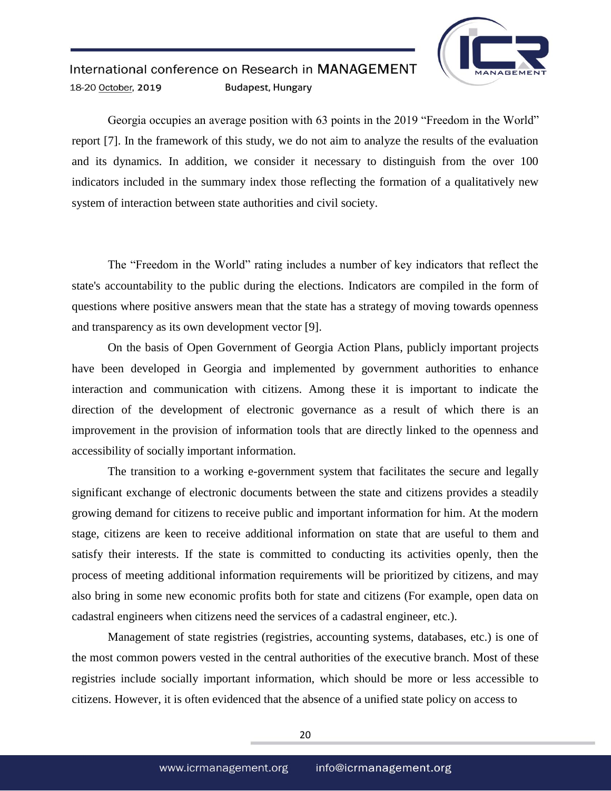

Georgia occupies an average position with 63 points in the 2019 "Freedom in the World" report [7]. In the framework of this study, we do not aim to analyze the results of the evaluation and its dynamics. In addition, we consider it necessary to distinguish from the over 100 indicators included in the summary index those reflecting the formation of a qualitatively new system of interaction between state authorities and civil society.

The "Freedom in the World" rating includes a number of key indicators that reflect the state's accountability to the public during the elections. Indicators are compiled in the form of questions where positive answers mean that the state has a strategy of moving towards openness and transparency as its own development vector [9].

On the basis of Open Government of Georgia Action Plans, publicly important projects have been developed in Georgia and implemented by government authorities to enhance interaction and communication with citizens. Among these it is important to indicate the direction of the development of electronic governance as a result of which there is an improvement in the provision of information tools that are directly linked to the openness and accessibility of socially important information.

The transition to a working e-government system that facilitates the secure and legally significant exchange of electronic documents between the state and citizens provides a steadily growing demand for citizens to receive public and important information for him. At the modern stage, citizens are keen to receive additional information on state that are useful to them and satisfy their interests. If the state is committed to conducting its activities openly, then the process of meeting additional information requirements will be prioritized by citizens, and may also bring in some new economic profits both for state and citizens (For example, open data on cadastral engineers when citizens need the services of a cadastral engineer, etc.).

Management of state registries (registries, accounting systems, databases, etc.) is one of the most common powers vested in the central authorities of the executive branch. Most of these registries include socially important information, which should be more or less accessible to citizens. However, it is often evidenced that the absence of a unified state policy on access to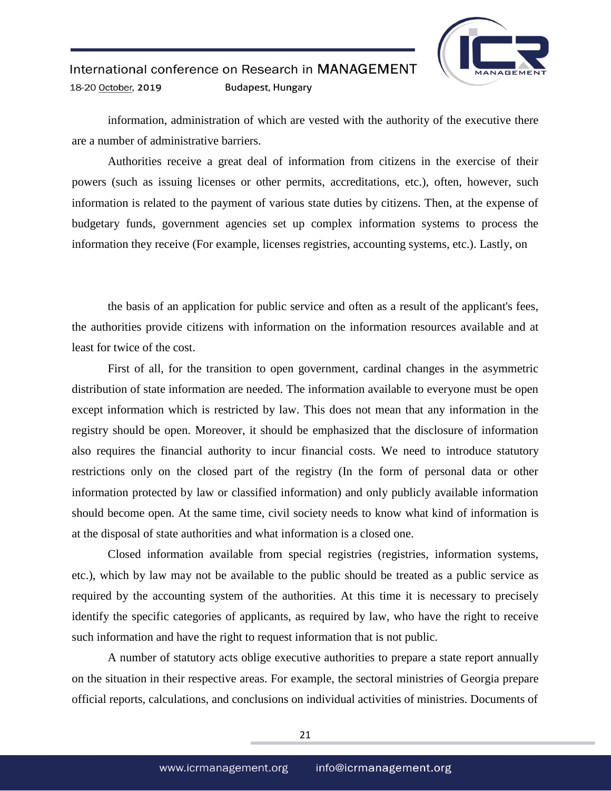

information, administration of which are vested with the authority of the executive there are a number of administrative barriers.

Authorities receive a great deal of information from citizens in the exercise of their powers (such as issuing licenses or other permits, accreditations, etc.), often, however, such information is related to the payment of various state duties by citizens. Then, at the expense of budgetary funds, government agencies set up complex information systems to process the information they receive (For example, licenses registries, accounting systems, etc.). Lastly, on

the basis of an application for public service and often as a result of the applicant's fees, the authorities provide citizens with information on the information resources available and at least for twice of the cost.

First of all, for the transition to open government, cardinal changes in the asymmetric distribution of state information are needed. The information available to everyone must be open except information which is restricted by law. This does not mean that any information in the registry should be open. Moreover, it should be emphasized that the disclosure of information also requires the financial authority to incur financial costs. We need to introduce statutory restrictions only on the closed part of the registry (In the form of personal data or other information protected by law or classified information) and only publicly available information should become open. At the same time, civil society needs to know what kind of information is at the disposal of state authorities and what information is a closed one.

Closed information available from special registries (registries, information systems, etc.), which by law may not be available to the public should be treated as a public service as required by the accounting system of the authorities. At this time it is necessary to precisely identify the specific categories of applicants, as required by law, who have the right to receive such information and have the right to request information that is not public.

A number of statutory acts oblige executive authorities to prepare a state report annually on the situation in their respective areas. For example, the sectoral ministries of Georgia prepare official reports, calculations, and conclusions on individual activities of ministries. Documents of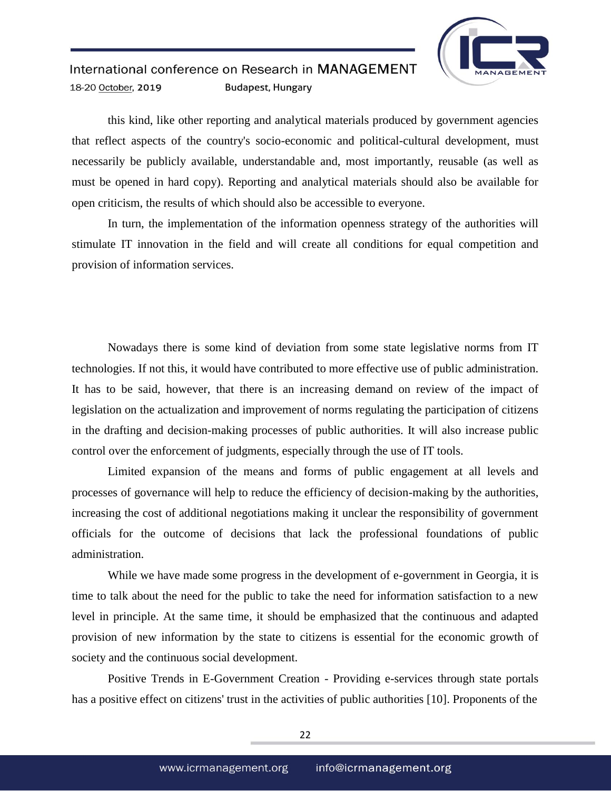

this kind, like other reporting and analytical materials produced by government agencies that reflect aspects of the country's socio-economic and political-cultural development, must necessarily be publicly available, understandable and, most importantly, reusable (as well as must be opened in hard copy). Reporting and analytical materials should also be available for open criticism, the results of which should also be accessible to everyone.

In turn, the implementation of the information openness strategy of the authorities will stimulate IT innovation in the field and will create all conditions for equal competition and provision of information services.

Nowadays there is some kind of deviation from some state legislative norms from IT technologies. If not this, it would have contributed to more effective use of public administration. It has to be said, however, that there is an increasing demand on review of the impact of legislation on the actualization and improvement of norms regulating the participation of citizens in the drafting and decision-making processes of public authorities. It will also increase public control over the enforcement of judgments, especially through the use of IT tools.

Limited expansion of the means and forms of public engagement at all levels and processes of governance will help to reduce the efficiency of decision-making by the authorities, increasing the cost of additional negotiations making it unclear the responsibility of government officials for the outcome of decisions that lack the professional foundations of public administration.

While we have made some progress in the development of e-government in Georgia, it is time to talk about the need for the public to take the need for information satisfaction to a new level in principle. At the same time, it should be emphasized that the continuous and adapted provision of new information by the state to citizens is essential for the economic growth of society and the continuous social development.

Positive Trends in E-Government Creation - Providing e-services through state portals has a positive effect on citizens' trust in the activities of public authorities [10]. Proponents of the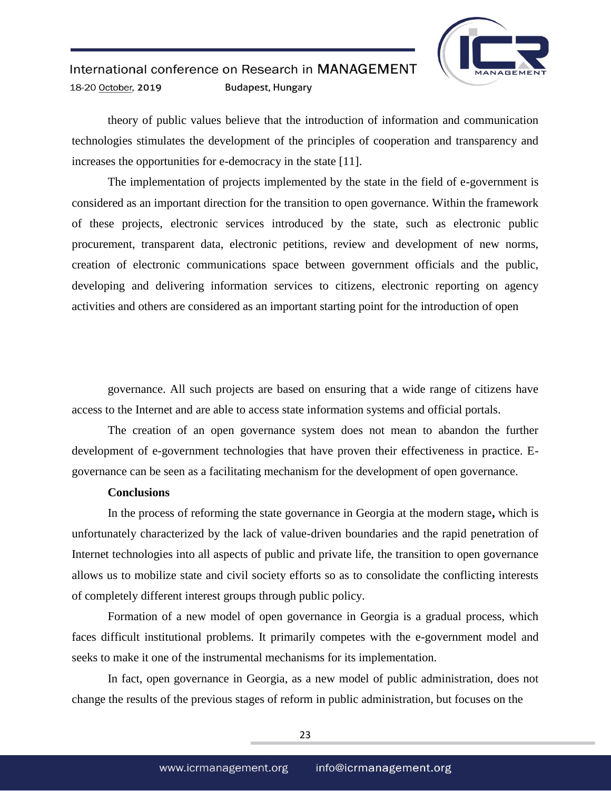

theory of public values believe that the introduction of information and communication technologies stimulates the development of the principles of cooperation and transparency and increases the opportunities for e-democracy in the state [11].

The implementation of projects implemented by the state in the field of e-government is considered as an important direction for the transition to open governance. Within the framework of these projects, electronic services introduced by the state, such as electronic public procurement, transparent data, electronic petitions, review and development of new norms, creation of electronic communications space between government officials and the public, developing and delivering information services to citizens, electronic reporting on agency activities and others are considered as an important starting point for the introduction of open

governance. All such projects are based on ensuring that a wide range of citizens have access to the Internet and are able to access state information systems and official portals.

The creation of an open governance system does not mean to abandon the further development of e-government technologies that have proven their effectiveness in practice. Egovernance can be seen as a facilitating mechanism for the development of open governance.

### **Conclusions**

In the process of reforming the state governance in Georgia at the modern stage**,** which is unfortunately characterized by the lack of value-driven boundaries and the rapid penetration of Internet technologies into all aspects of public and private life, the transition to open governance allows us to mobilize state and civil society efforts so as to consolidate the conflicting interests of completely different interest groups through public policy.

Formation of a new model of open governance in Georgia is a gradual process, which faces difficult institutional problems. It primarily competes with the e-government model and seeks to make it one of the instrumental mechanisms for its implementation.

In fact, open governance in Georgia, as a new model of public administration, does not change the results of the previous stages of reform in public administration, but focuses on the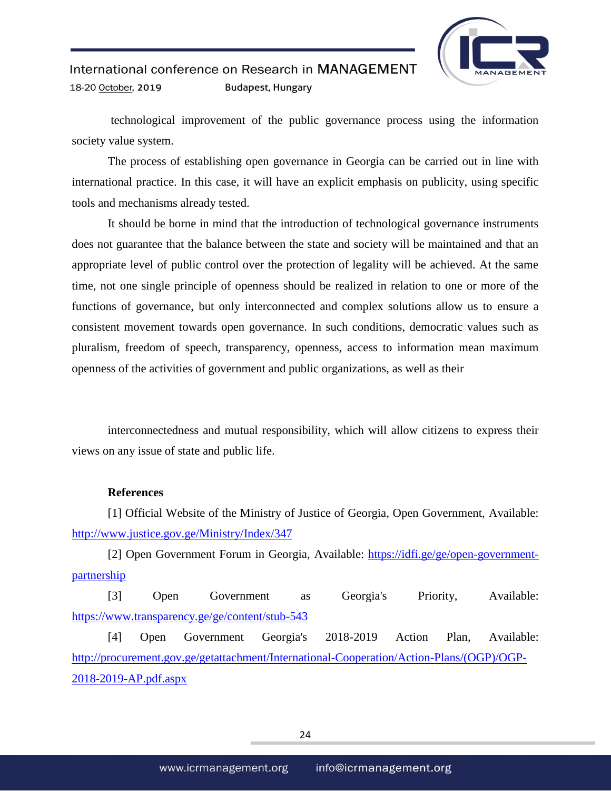

technological improvement of the public governance process using the information society value system.

The process of establishing open governance in Georgia can be carried out in line with international practice. In this case, it will have an explicit emphasis on publicity, using specific tools and mechanisms already tested.

It should be borne in mind that the introduction of technological governance instruments does not guarantee that the balance between the state and society will be maintained and that an appropriate level of public control over the protection of legality will be achieved. At the same time, not one single principle of openness should be realized in relation to one or more of the functions of governance, but only interconnected and complex solutions allow us to ensure a consistent movement towards open governance. In such conditions, democratic values such as pluralism, freedom of speech, transparency, openness, access to information mean maximum openness of the activities of government and public organizations, as well as their

interconnectedness and mutual responsibility, which will allow citizens to express their views on any issue of state and public life.

## **References**

[1] Official Website of the Ministry of Justice of Georgia, Open Government, Available: <http://www.justice.gov.ge/Ministry/Index/347>

[2] Open Government Forum in Georgia, Available: [https://idfi.ge/ge/open-government](https://idfi.ge/ge/open-government-partnership)[partnership](https://idfi.ge/ge/open-government-partnership)

[3] Open Government as Georgia's Priority, Available: <https://www.transparency.ge/ge/content/stub-543>

[4] Open Government Georgia's 2018-2019 Action Plan, Available: [http://procurement.gov.ge/getattachment/International-Cooperation/Action-Plans/\(OGP\)/OGP-](http://procurement.gov.ge/getattachment/International-Cooperation/Action-Plans/(OGP)/OGP-2018-2019-AP.pdf.aspx)[2018-2019-AP.pdf.aspx](http://procurement.gov.ge/getattachment/International-Cooperation/Action-Plans/(OGP)/OGP-2018-2019-AP.pdf.aspx)